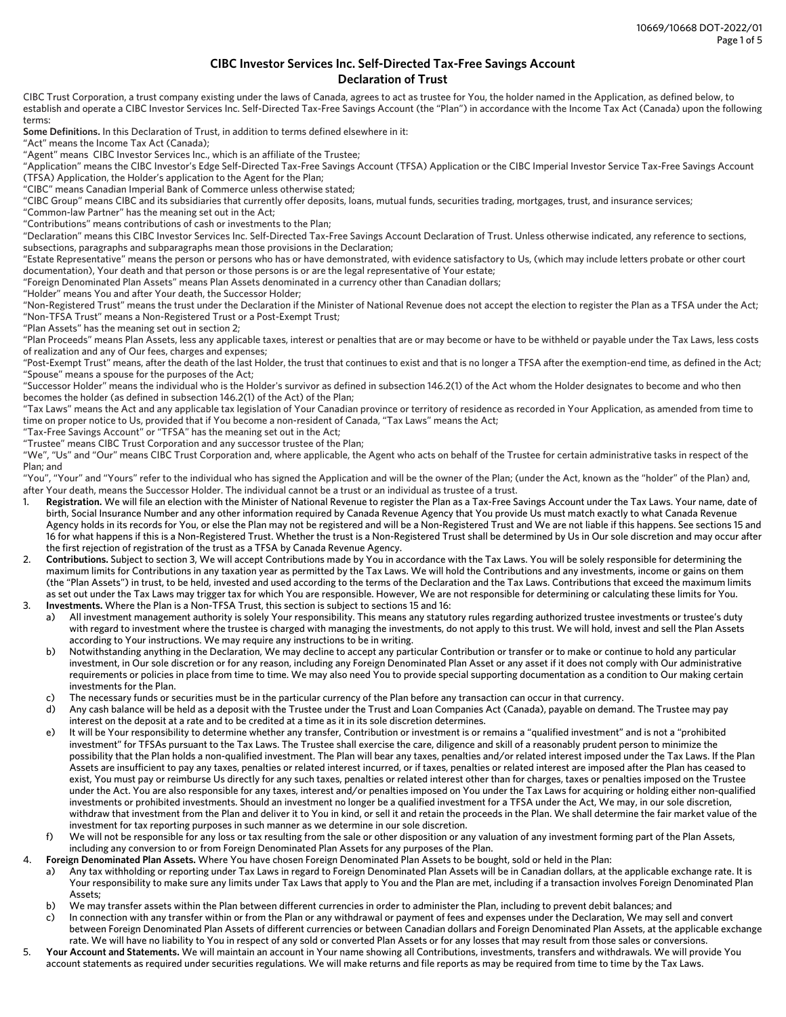## **CIBC Investor Services Inc. Self-Directed Tax-Free Savings Account Declaration of Trust**

CIBC Trust Corporation, a trust company existing under the laws of Canada, agrees to act as trustee for You, the holder named in the Application, as defined below, to establish and operate a CIBC Investor Services Inc. Self-Directed Tax-Free Savings Account (the "Plan") in accordance with the Income Tax Act (Canada) upon the following terms:

**Some Definitions.** In this Declaration of Trust, in addition to terms defined elsewhere in it:

"Act" means the Income Tax Act (Canada);

"Agent" means CIBC Investor Services Inc., which is an affiliate of the Trustee;

"Application" means the CIBC Investor's Edge Self-Directed Tax-Free Savings Account (TFSA) Application or the CIBC Imperial Investor Service Tax-Free Savings Account (TFSA) Application, the Holder's application to the Agent for the Plan;

"CIBC" means Canadian Imperial Bank of Commerce unless otherwise stated;

"CIBC Group" means CIBC and its subsidiaries that currently offer deposits, loans, mutual funds, securities trading, mortgages, trust, and insurance services;

"Common-law Partner" has the meaning set out in the Act;

"Contributions" means contributions of cash or investments to the Plan;

"Declaration" means this CIBC Investor Services Inc. Self-Directed Tax-Free Savings Account Declaration of Trust. Unless otherwise indicated, any reference to sections, subsections, paragraphs and subparagraphs mean those provisions in the Declaration;

"Estate Representative" means the person or persons who has or have demonstrated, with evidence satisfactory to Us, (which may include letters probate or other court documentation), Your death and that person or those persons is or are the legal representative of Your estate;

"Foreign Denominated Plan Assets" means Plan Assets denominated in a currency other than Canadian dollars;

"Holder" means You and after Your death, the Successor Holder;

"Non-Registered Trust" means the trust under the Declaration if the Minister of National Revenue does not accept the election to register the Plan as a TFSA under the Act; "Non-TFSA Trust" means a Non-Registered Trust or a Post-Exempt Trust;

"Plan Assets" has the meaning set out in section 2;

"Plan Proceeds" means Plan Assets, less any applicable taxes, interest or penalties that are or may become or have to be withheld or payable under the Tax Laws, less costs of realization and any of Our fees, charges and expenses;

"Post-Exempt Trust" means, after the death of the last Holder, the trust that continues to exist and that is no longer a TFSA after the exemption-end time, as defined in the Act; "Spouse" means a spouse for the purposes of the Act;

"Successor Holder" means the individual who is the Holder's survivor as defined in subsection 146.2(1) of the Act whom the Holder designates to become and who then becomes the holder (as defined in subsection 146.2(1) of the Act) of the Plan;

"Tax Laws" means the Act and any applicable tax legislation of Your Canadian province or territory of residence as recorded in Your Application, as amended from time to time on proper notice to Us, provided that if You become a non-resident of Canada, "Tax Laws" means the Act;

"Tax-Free Savings Account" or "TFSA" has the meaning set out in the Act;

"Trustee" means CIBC Trust Corporation and any successor trustee of the Plan;

"We", "Us" and "Our" means CIBC Trust Corporation and, where applicable, the Agent who acts on behalf of the Trustee for certain administrative tasks in respect of the Plan; and

"You", "Your" and "Yours" refer to the individual who has signed the Application and will be the owner of the Plan; (under the Act, known as the "holder" of the Plan) and, after Your death, means the Successor Holder. The individual cannot be a trust or an individual as trustee of a trust.

- 1. **Registration.** We will file an election with the Minister of National Revenue to register the Plan as a Tax-Free Savings Account under the Tax Laws. Your name, date of birth, Social Insurance Number and any other information required by Canada Revenue Agency that You provide Us must match exactly to what Canada Revenue Agency holds in its records for You, or else the Plan may not be registered and will be a Non-Registered Trust and We are not liable if this happens. See sections 15 and 16 for what happens if this is a Non-Registered Trust. Whether the trust is a Non-Registered Trust shall be determined by Us in Our sole discretion and may occur after the first rejection of registration of the trust as a TFSA by Canada Revenue Agency.
- 2. **Contributions.** Subject to section 3, We will accept Contributions made by You in accordance with the Tax Laws. You will be solely responsible for determining the maximum limits for Contributions in any taxation year as permitted by the Tax Laws. We will hold the Contributions and any investments, income or gains on them (the "Plan Assets") in trust, to be held, invested and used according to the terms of the Declaration and the Tax Laws. Contributions that exceed the maximum limits as set out under the Tax Laws may trigger tax for which You are responsible. However, We are not responsible for determining or calculating these limits for You.
- 3. **Investments.** Where the Plan is a Non-TFSA Trust, this section is subject to sections 15 and 16:
	- a) All investment management authority is solely Your responsibility. This means any statutory rules regarding authorized trustee investments or trustee's duty with regard to investment where the trustee is charged with managing the investments, do not apply to this trust. We will hold, invest and sell the Plan Assets according to Your instructions. We may require any instructions to be in writing.
	- b) Notwithstanding anything in the Declaration, We may decline to accept any particular Contribution or transfer or to make or continue to hold any particular investment, in Our sole discretion or for any reason, including any Foreign Denominated Plan Asset or any asset if it does not comply with Our administrative requirements or policies in place from time to time. We may also need You to provide special supporting documentation as a condition to Our making certain investments for the Plan.
	- c) The necessary funds or securities must be in the particular currency of the Plan before any transaction can occur in that currency.
	- d) Any cash balance will be held as a deposit with the Trustee under the Trust and Loan Companies Act (Canada), payable on demand. The Trustee may pay interest on the deposit at a rate and to be credited at a time as it in its sole discretion determines.
	- e) It will be Your responsibility to determine whether any transfer, Contribution or investment is or remains a "qualified investment" and is not a "prohibited investment" for TFSAs pursuant to the Tax Laws. The Trustee shall exercise the care, diligence and skill of a reasonably prudent person to minimize the possibility that the Plan holds a non-qualified investment. The Plan will bear any taxes, penalties and/or related interest imposed under the Tax Laws. If the Plan Assets are insufficient to pay any taxes, penalties or related interest incurred, or if taxes, penalties or related interest are imposed after the Plan has ceased to exist, You must pay or reimburse Us directly for any such taxes, penalties or related interest other than for charges, taxes or penalties imposed on the Trustee under the Act. You are also responsible for any taxes, interest and/or penalties imposed on You under the Tax Laws for acquiring or holding either non-qualified investments or prohibited investments. Should an investment no longer be a qualified investment for a TFSA under the Act, We may, in our sole discretion, withdraw that investment from the Plan and deliver it to You in kind, or sell it and retain the proceeds in the Plan. We shall determine the fair market value of the investment for tax reporting purposes in such manner as we determine in our sole discretion.
	- f) We will not be responsible for any loss or tax resulting from the sale or other disposition or any valuation of any investment forming part of the Plan Assets, including any conversion to or from Foreign Denominated Plan Assets for any purposes of the Plan.
- 4. **Foreign Denominated Plan Assets.** Where You have chosen Foreign Denominated Plan Assets to be bought, sold or held in the Plan:
	- a) Any tax withholding or reporting under Tax Laws in regard to Foreign Denominated Plan Assets will be in Canadian dollars, at the applicable exchange rate. It is Your responsibility to make sure any limits under Tax Laws that apply to You and the Plan are met, including if a transaction involves Foreign Denominated Plan Assets;
	- b) We may transfer assets within the Plan between different currencies in order to administer the Plan, including to prevent debit balances; and
	- c) In connection with any transfer within or from the Plan or any withdrawal or payment of fees and expenses under the Declaration, We may sell and convert between Foreign Denominated Plan Assets of different currencies or between Canadian dollars and Foreign Denominated Plan Assets, at the applicable exchange rate. We will have no liability to You in respect of any sold or converted Plan Assets or for any losses that may result from those sales or conversions.
- 5. **Your Account and Statements.** We will maintain an account in Your name showing all Contributions, investments, transfers and withdrawals. We will provide You account statements as required under securities regulations. We will make returns and file reports as may be required from time to time by the Tax Laws.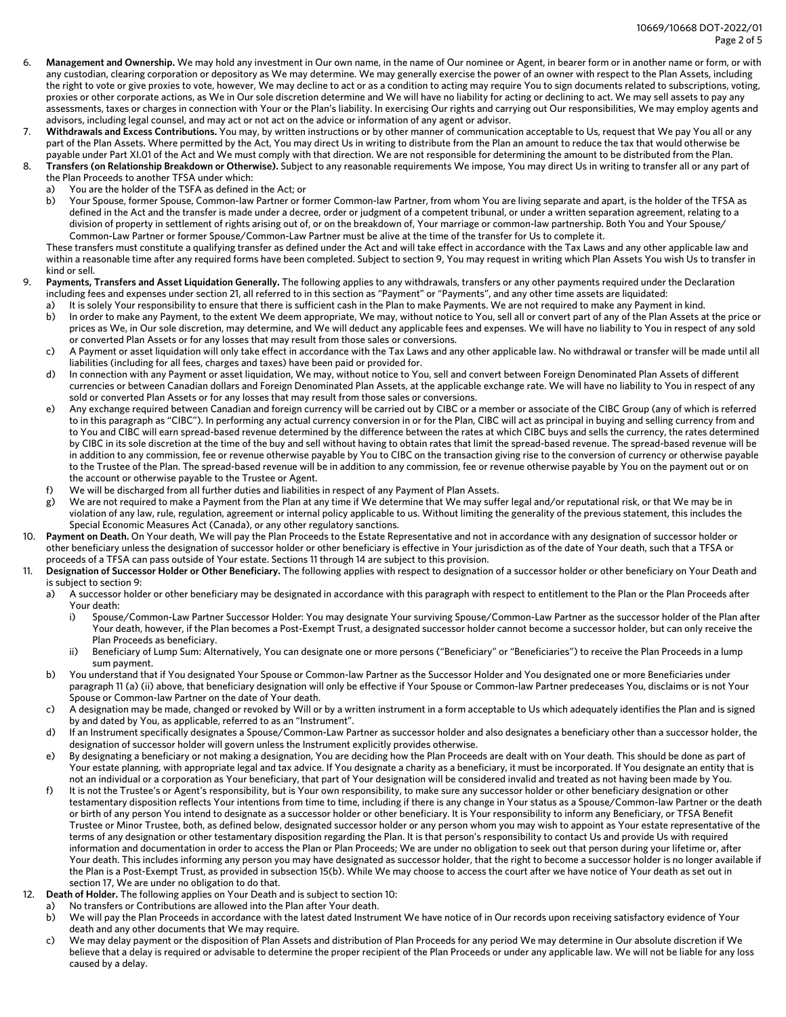- 6. **Management and Ownership.** We may hold any investment in Our own name, in the name of Our nominee or Agent, in bearer form or in another name or form, or with any custodian, clearing corporation or depository as We may determine. We may generally exercise the power of an owner with respect to the Plan Assets, including the right to vote or give proxies to vote, however, We may decline to act or as a condition to acting may require You to sign documents related to subscriptions, voting, proxies or other corporate actions, as We in Our sole discretion determine and We will have no liability for acting or declining to act. We may sell assets to pay any assessments, taxes or charges in connection with Your or the Plan's liability. In exercising Our rights and carrying out Our responsibilities, We may employ agents and advisors, including legal counsel, and may act or not act on the advice or information of any agent or advisor.
- Withdrawals and Excess Contributions. You may, by written instructions or by other manner of communication acceptable to Us, request that We pay You all or any part of the Plan Assets. Where permitted by the Act, You may direct Us in writing to distribute from the Plan an amount to reduce the tax that would otherwise be payable under Part XI.01 of the Act and We must comply with that direction. We are not responsible for determining the amount to be distributed from the Plan.
- 8. **Transfers (on Relationship Breakdown or Otherwise).** Subject to any reasonable requirements We impose, You may direct Us in writing to transfer all or any part of the Plan Proceeds to another TFSA under which:
	- a) You are the holder of the TSFA as defined in the Act; or
	- b) Your Spouse, former Spouse, Common-law Partner or former Common-law Partner, from whom You are living separate and apart, is the holder of the TFSA as defined in the Act and the transfer is made under a decree, order or judgment of a competent tribunal, or under a written separation agreement, relating to a division of property in settlement of rights arising out of, or on the breakdown of, Your marriage or common-law partnership. Both You and Your Spouse/ Common-Law Partner or former Spouse/Common-Law Partner must be alive at the time of the transfer for Us to complete it.

These transfers must constitute a qualifying transfer as defined under the Act and will take effect in accordance with the Tax Laws and any other applicable law and within a reasonable time after any required forms have been completed. Subject to section 9, You may request in writing which Plan Assets You wish Us to transfer in kind or sell.

- 9. **Payments, Transfers and Asset Liquidation Generally.** The following applies to any withdrawals, transfers or any other payments required under the Declaration including fees and expenses under section 21, all referred to in this section as "Payment" or "Payments", and any other time assets are liquidated:
	- a) It is solely Your responsibility to ensure that there is sufficient cash in the Plan to make Payments. We are not required to make any Payment in kind. b) In order to make any Payment, to the extent We deem appropriate, We may, without notice to You, sell all or convert part of any of the Plan Assets at the price or prices as We, in Our sole discretion, may determine, and We will deduct any applicable fees and expenses. We will have no liability to You in respect of any sold
	- or converted Plan Assets or for any losses that may result from those sales or conversions. c) A Payment or asset liquidation will only take effect in accordance with the Tax Laws and any other applicable law. No withdrawal or transfer will be made until all
	- liabilities (including for all fees, charges and taxes) have been paid or provided for.
	- d) In connection with any Payment or asset liquidation, We may, without notice to You, sell and convert between Foreign Denominated Plan Assets of different currencies or between Canadian dollars and Foreign Denominated Plan Assets, at the applicable exchange rate. We will have no liability to You in respect of any sold or converted Plan Assets or for any losses that may result from those sales or conversions.
	- e) Any exchange required between Canadian and foreign currency will be carried out by CIBC or a member or associate of the CIBC Group (any of which is referred to in this paragraph as "CIBC"). In performing any actual currency conversion in or for the Plan, CIBC will act as principal in buying and selling currency from and to You and CIBC will earn spread-based revenue determined by the difference between the rates at which CIBC buys and sells the currency, the rates determined by CIBC in its sole discretion at the time of the buy and sell without having to obtain rates that limit the spread-based revenue. The spread-based revenue will be in addition to any commission, fee or revenue otherwise payable by You to CIBC on the transaction giving rise to the conversion of currency or otherwise payable to the Trustee of the Plan. The spread-based revenue will be in addition to any commission, fee or revenue otherwise payable by You on the payment out or on the account or otherwise payable to the Trustee or Agent.
	- f) We will be discharged from all further duties and liabilities in respect of any Payment of Plan Assets.
	- g) We are not required to make a Payment from the Plan at any time if We determine that We may suffer legal and/or reputational risk, or that We may be in violation of any law, rule, regulation, agreement or internal policy applicable to us. Without limiting the generality of the previous statement, this includes the Special Economic Measures Act (Canada), or any other regulatory sanctions.
- 10. **Payment on Death.** On Your death, We will pay the Plan Proceeds to the Estate Representative and not in accordance with any designation of successor holder or other beneficiary unless the designation of successor holder or other beneficiary is effective in Your jurisdiction as of the date of Your death, such that a TFSA or proceeds of a TFSA can pass outside of Your estate. Sections 11 through 14 are subject to this provision.
- 11. **Designation of Successor Holder or Other Beneficiary.** The following applies with respect to designation of a successor holder or other beneficiary on Your Death and is subject to section 9:
	- a) A successor holder or other beneficiary may be designated in accordance with this paragraph with respect to entitlement to the Plan or the Plan Proceeds after Your death:
		- i) Spouse/Common-Law Partner Successor Holder: You may designate Your surviving Spouse/Common-Law Partner as the successor holder of the Plan after Your death, however, if the Plan becomes a Post-Exempt Trust, a designated successor holder cannot become a successor holder, but can only receive the Plan Proceeds as beneficiary.
		- ii) Beneficiary of Lump Sum: Alternatively, You can designate one or more persons ("Beneficiary" or "Beneficiaries") to receive the Plan Proceeds in a lump sum payment.
	- b) You understand that if You designated Your Spouse or Common-law Partner as the Successor Holder and You designated one or more Beneficiaries under paragraph 11 (a) (ii) above, that beneficiary designation will only be effective if Your Spouse or Common-law Partner predeceases You, disclaims or is not Your Spouse or Common-law Partner on the date of Your death.
	- c) A designation may be made, changed or revoked by Will or by a written instrument in a form acceptable to Us which adequately identifies the Plan and is signed by and dated by You, as applicable, referred to as an "Instrument".
	- d) If an Instrument specifically designates a Spouse/Common-Law Partner as successor holder and also designates a beneficiary other than a successor holder, the designation of successor holder will govern unless the Instrument explicitly provides otherwise.
	- e) By designating a beneficiary or not making a designation, You are deciding how the Plan Proceeds are dealt with on Your death. This should be done as part of Your estate planning, with appropriate legal and tax advice. If You designate a charity as a beneficiary, it must be incorporated. If You designate an entity that is not an individual or a corporation as Your beneficiary, that part of Your designation will be considered invalid and treated as not having been made by You.
	- f) It is not the Trustee's or Agent's responsibility, but is Your own responsibility, to make sure any successor holder or other beneficiary designation or other testamentary disposition reflects Your intentions from time to time, including if there is any change in Your status as a Spouse/Common-law Partner or the death or birth of any person You intend to designate as a successor holder or other beneficiary. It is Your responsibility to inform any Beneficiary, or TFSA Benefit Trustee or Minor Trustee, both, as defined below, designated successor holder or any person whom you may wish to appoint as Your estate representative of the terms of any designation or other testamentary disposition regarding the Plan. It is that person's responsibility to contact Us and provide Us with required information and documentation in order to access the Plan or Plan Proceeds; We are under no obligation to seek out that person during your lifetime or, after Your death. This includes informing any person you may have designated as successor holder, that the right to become a successor holder is no longer available if the Plan is a Post-Exempt Trust, as provided in subsection 15(b). While We may choose to access the court after we have notice of Your death as set out in section 17, We are under no obligation to do that.
- 12. **Death of Holder.** The following applies on Your Death and is subject to section 10:
	- a) No transfers or Contributions are allowed into the Plan after Your death.
	- b) We will pay the Plan Proceeds in accordance with the latest dated Instrument We have notice of in Our records upon receiving satisfactory evidence of Your death and any other documents that We may require.
	- c) We may delay payment or the disposition of Plan Assets and distribution of Plan Proceeds for any period We may determine in Our absolute discretion if We believe that a delay is required or advisable to determine the proper recipient of the Plan Proceeds or under any applicable law. We will not be liable for any loss caused by a delay.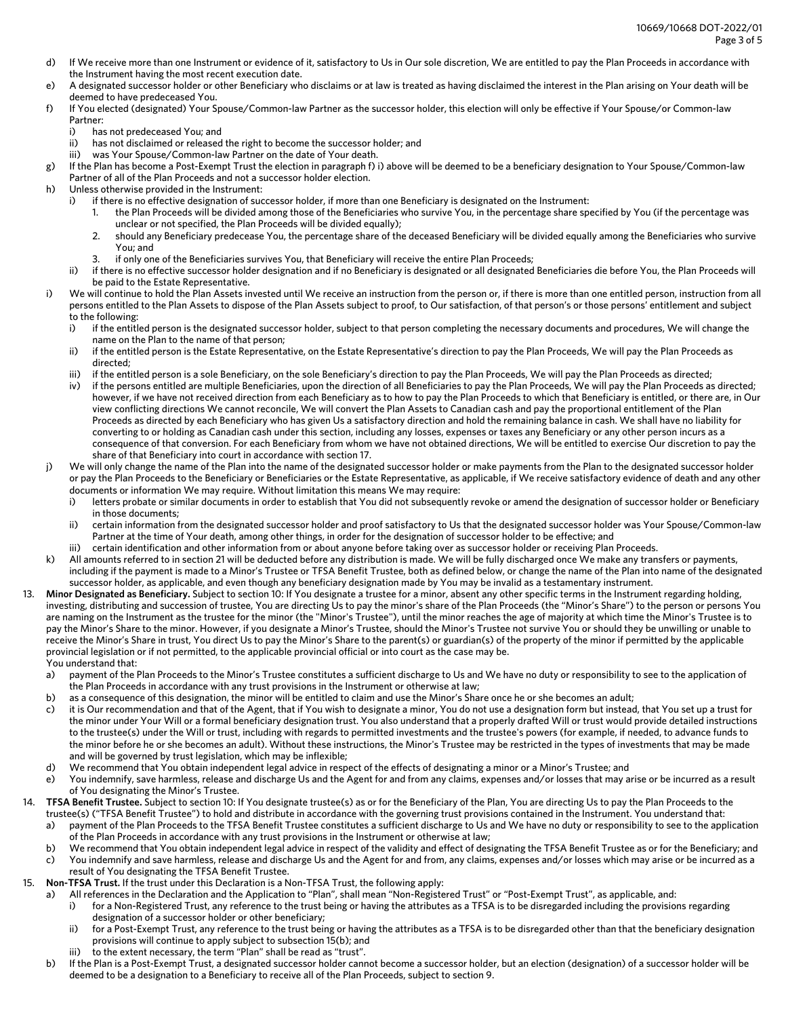- d) If We receive more than one Instrument or evidence of it, satisfactory to Us in Our sole discretion, We are entitled to pay the Plan Proceeds in accordance with the Instrument having the most recent execution date.
- e) A designated successor holder or other Beneficiary who disclaims or at law is treated as having disclaimed the interest in the Plan arising on Your death will be deemed to have predeceased You.
- f) If You elected (designated) Your Spouse/Common-law Partner as the successor holder, this election will only be effective if Your Spouse/or Common-law Partner:
	- i) has not predeceased You; and
	- ii) has not disclaimed or released the right to become the successor holder; and
	- iii) was Your Spouse/Common-law Partner on the date of Your death.
- g) If the Plan has become a Post-Exempt Trust the election in paragraph f) i) above will be deemed to be a beneficiary designation to Your Spouse/Common-law Partner of all of the Plan Proceeds and not a successor holder election.
- h) Unless otherwise provided in the Instrument:
	- i) if there is no effective designation of successor holder, if more than one Beneficiary is designated on the Instrument:
		- 1. the Plan Proceeds will be divided among those of the Beneficiaries who survive You, in the percentage share specified by You (if the percentage was unclear or not specified, the Plan Proceeds will be divided equally);
		- 2. should any Beneficiary predecease You, the percentage share of the deceased Beneficiary will be divided equally among the Beneficiaries who survive You; and
		- 3. if only one of the Beneficiaries survives You, that Beneficiary will receive the entire Plan Proceeds;
	- ii) if there is no effective successor holder designation and if no Beneficiary is designated or all designated Beneficiaries die before You, the Plan Proceeds will be paid to the Estate Representative.
- i) We will continue to hold the Plan Assets invested until We receive an instruction from the person or, if there is more than one entitled person, instruction from all persons entitled to the Plan Assets to dispose of the Plan Assets subject to proof, to Our satisfaction, of that person's or those persons' entitlement and subject to the following:
	- i) if the entitled person is the designated successor holder, subject to that person completing the necessary documents and procedures, We will change the name on the Plan to the name of that person;
	- ii) if the entitled person is the Estate Representative, on the Estate Representative's direction to pay the Plan Proceeds, We will pay the Plan Proceeds as directed;
	- iii) if the entitled person is a sole Beneficiary, on the sole Beneficiary's direction to pay the Plan Proceeds, We will pay the Plan Proceeds as directed;
	- iv) if the persons entitled are multiple Beneficiaries, upon the direction of all Beneficiaries to pay the Plan Proceeds, We will pay the Plan Proceeds as directed; however, if we have not received direction from each Beneficiary as to how to pay the Plan Proceeds to which that Beneficiary is entitled, or there are, in Our view conflicting directions We cannot reconcile, We will convert the Plan Assets to Canadian cash and pay the proportional entitlement of the Plan Proceeds as directed by each Beneficiary who has given Us a satisfactory direction and hold the remaining balance in cash. We shall have no liability for converting to or holding as Canadian cash under this section, including any losses, expenses or taxes any Beneficiary or any other person incurs as a consequence of that conversion. For each Beneficiary from whom we have not obtained directions, We will be entitled to exercise Our discretion to pay the share of that Beneficiary into court in accordance with section 17.
- j) We will only change the name of the Plan into the name of the designated successor holder or make payments from the Plan to the designated successor holder or pay the Plan Proceeds to the Beneficiary or Beneficiaries or the Estate Representative, as applicable, if We receive satisfactory evidence of death and any other documents or information We may require. Without limitation this means We may require:
	- i) letters probate or similar documents in order to establish that You did not subsequently revoke or amend the designation of successor holder or Beneficiary in those documents;
	- ii) certain information from the designated successor holder and proof satisfactory to Us that the designated successor holder was Your Spouse/Common-law Partner at the time of Your death, among other things, in order for the designation of successor holder to be effective; and
	- iii) certain identification and other information from or about anyone before taking over as successor holder or receiving Plan Proceeds.
- k) All amounts referred to in section 21 will be deducted before any distribution is made. We will be fully discharged once We make any transfers or payments, including if the payment is made to a Minor's Trustee or TFSA Benefit Trustee, both as defined below, or change the name of the Plan into name of the designated successor holder, as applicable, and even though any beneficiary designation made by You may be invalid as a testamentary instrument.
- 13. **Minor Designated as Beneficiary.** Subject to section 10: If You designate a trustee for a minor, absent any other specific terms in the Instrument regarding holding, investing, distributing and succession of trustee, You are directing Us to pay the minor's share of the Plan Proceeds (the "Minor's Share") to the person or persons You are naming on the Instrument as the trustee for the minor (the "Minor's Trustee"), until the minor reaches the age of majority at which time the Minor's Trustee is to pay the Minor's Share to the minor. However, if you designate a Minor's Trustee, should the Minor's Trustee not survive You or should they be unwilling or unable to receive the Minor's Share in trust, You direct Us to pay the Minor's Share to the parent(s) or guardian(s) of the property of the minor if permitted by the applicable provincial legislation or if not permitted, to the applicable provincial official or into court as the case may be. You understand that:
	- a) payment of the Plan Proceeds to the Minor's Trustee constitutes a sufficient discharge to Us and We have no duty or responsibility to see to the application of the Plan Proceeds in accordance with any trust provisions in the Instrument or otherwise at law;
	- b) as a consequence of this designation, the minor will be entitled to claim and use the Minor's Share once he or she becomes an adult;
	- c) it is Our recommendation and that of the Agent, that if You wish to designate a minor, You do not use a designation form but instead, that You set up a trust for the minor under Your Will or a formal beneficiary designation trust. You also understand that a properly drafted Will or trust would provide detailed instructions to the trustee(s) under the Will or trust, including with regards to permitted investments and the trustee's powers (for example, if needed, to advance funds to the minor before he or she becomes an adult). Without these instructions, the Minor's Trustee may be restricted in the types of investments that may be made and will be governed by trust legislation, which may be inflexible;
	- d) We recommend that You obtain independent legal advice in respect of the effects of designating a minor or a Minor's Trustee; and
	- e) You indemnify, save harmless, release and discharge Us and the Agent for and from any claims, expenses and/or losses that may arise or be incurred as a result of You designating the Minor's Trustee.
- 14. **TFSA Benefit Trustee.** Subject to section 10: If You designate trustee(s) as or for the Beneficiary of the Plan, You are directing Us to pay the Plan Proceeds to the trustee(s) ("TFSA Benefit Trustee") to hold and distribute in accordance with the governing trust provisions contained in the Instrument. You understand that:
	- a) payment of the Plan Proceeds to the TFSA Benefit Trustee constitutes a sufficient discharge to Us and We have no duty or responsibility to see to the application of the Plan Proceeds in accordance with any trust provisions in the Instrument or otherwise at law;
	- b) We recommend that You obtain independent legal advice in respect of the validity and effect of designating the TFSA Benefit Trustee as or for the Beneficiary; and
	- c) You indemnify and save harmless, release and discharge Us and the Agent for and from, any claims, expenses and/or losses which may arise or be incurred as a result of You designating the TFSA Benefit Trustee.
- 15. **Non-TFSA Trust.** If the trust under this Declaration is a Non-TFSA Trust, the following apply:
	- a) All references in the Declaration and the Application to "Plan", shall mean "Non-Registered Trust" or "Post-Exempt Trust", as applicable, and:
		- i) for a Non-Registered Trust, any reference to the trust being or having the attributes as a TFSA is to be disregarded including the provisions regarding designation of a successor holder or other beneficiary;
			- ii) for a Post-Exempt Trust, any reference to the trust being or having the attributes as a TFSA is to be disregarded other than that the beneficiary designation provisions will continue to apply subject to subsection 15(b); and
		- to the extent necessary, the term "Plan" shall be read as "trust".
	- b) If the Plan is a Post-Exempt Trust, a designated successor holder cannot become a successor holder, but an election (designation) of a successor holder will be deemed to be a designation to a Beneficiary to receive all of the Plan Proceeds, subject to section 9.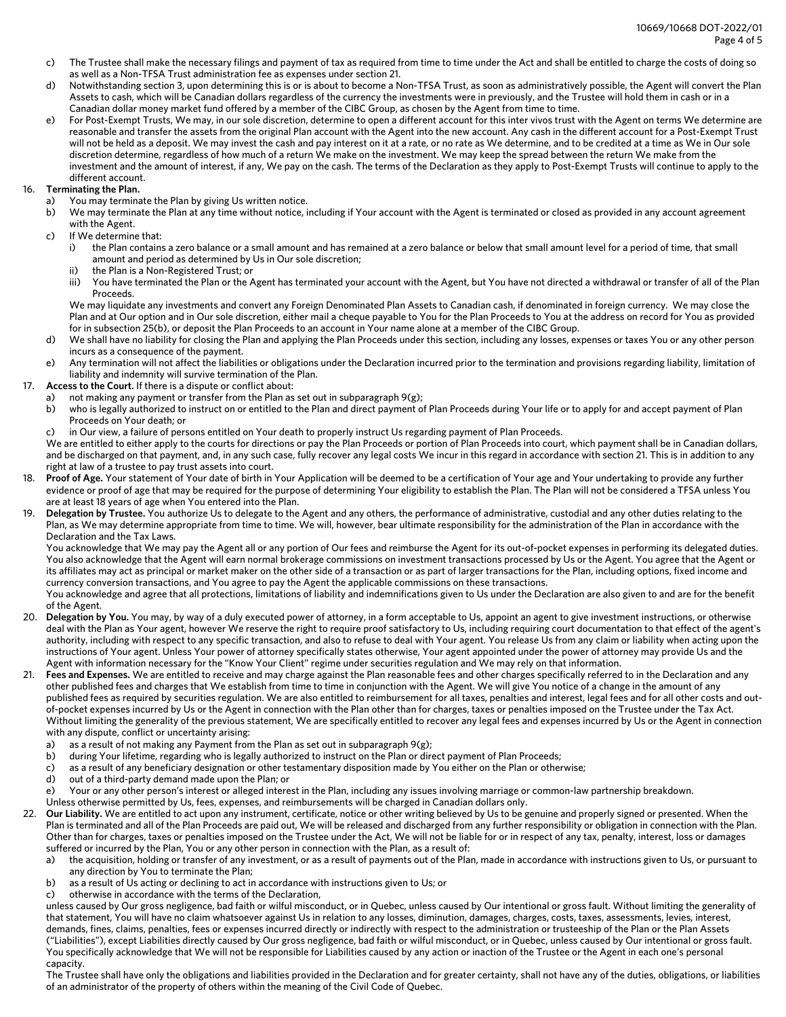- c) The Trustee shall make the necessary filings and payment of tax as required from time to time under the Act and shall be entitled to charge the costs of doing so as well as a Non-TFSA Trust administration fee as expenses under section 21.
- d) Notwithstanding section 3, upon determining this is or is about to become a Non-TFSA Trust, as soon as administratively possible, the Agent will convert the Plan Assets to cash, which will be Canadian dollars regardless of the currency the investments were in previously, and the Trustee will hold them in cash or in a Canadian dollar money market fund offered by a member of the CIBC Group, as chosen by the Agent from time to time.
- e) For Post-Exempt Trusts, We may, in our sole discretion, determine to open a different account for this inter vivos trust with the Agent on terms We determine are reasonable and transfer the assets from the original Plan account with the Agent into the new account. Any cash in the different account for a Post-Exempt Trust will not be held as a deposit. We may invest the cash and pay interest on it at a rate, or no rate as We determine, and to be credited at a time as We in Our sole discretion determine, regardless of how much of a return We make on the investment. We may keep the spread between the return We make from the investment and the amount of interest, if any, We pay on the cash. The terms of the Declaration as they apply to Post-Exempt Trusts will continue to apply to the different account.

## 16. **Terminating the Plan.**

- a) You may terminate the Plan by giving Us written notice.
- b) We may terminate the Plan at any time without notice, including if Your account with the Agent is terminated or closed as provided in any account agreement with the Agent.
- c) If We determine that:
	- i) the Plan contains a zero balance or a small amount and has remained at a zero balance or below that small amount level for a period of time, that small amount and period as determined by Us in Our sole discretion;
	- ii) the Plan is a Non-Registered Trust; or
	- iii) You have terminated the Plan or the Agent has terminated your account with the Agent, but You have not directed a withdrawal or transfer of all of the Plan Proceeds.

We may liquidate any investments and convert any Foreign Denominated Plan Assets to Canadian cash, if denominated in foreign currency. We may close the Plan and at Our option and in Our sole discretion, either mail a cheque payable to You for the Plan Proceeds to You at the address on record for You as provided for in subsection 25(b), or deposit the Plan Proceeds to an account in Your name alone at a member of the CIBC Group.

- d) We shall have no liability for closing the Plan and applying the Plan Proceeds under this section, including any losses, expenses or taxes You or any other person incurs as a consequence of the payment.
- e) Any termination will not affect the liabilities or obligations under the Declaration incurred prior to the termination and provisions regarding liability, limitation of liability and indemnity will survive termination of the Plan.
- 17. **Access to the Court.** If there is a dispute or conflict about:
	- a) not making any payment or transfer from the Plan as set out in subparagraph 9(g);
	- b) who is legally authorized to instruct on or entitled to the Plan and direct payment of Plan Proceeds during Your life or to apply for and accept payment of Plan Proceeds on Your death; or
	- c) in Our view, a failure of persons entitled on Your death to properly instruct Us regarding payment of Plan Proceeds.

We are entitled to either apply to the courts for directions or pay the Plan Proceeds or portion of Plan Proceeds into court, which payment shall be in Canadian dollars, and be discharged on that payment, and, in any such case, fully recover any legal costs We incur in this regard in accordance with section 21. This is in addition to any right at law of a trustee to pay trust assets into court.

- 18. **Proof of Age.** Your statement of Your date of birth in Your Application will be deemed to be a certification of Your age and Your undertaking to provide any further evidence or proof of age that may be required for the purpose of determining Your eligibility to establish the Plan. The Plan will not be considered a TFSA unless You are at least 18 years of age when You entered into the Plan.
- 19. **Delegation by Trustee.** You authorize Us to delegate to the Agent and any others, the performance of administrative, custodial and any other duties relating to the Plan, as We may determine appropriate from time to time. We will, however, bear ultimate responsibility for the administration of the Plan in accordance with the Declaration and the Tax Laws.

You acknowledge that We may pay the Agent all or any portion of Our fees and reimburse the Agent for its out-of-pocket expenses in performing its delegated duties. You also acknowledge that the Agent will earn normal brokerage commissions on investment transactions processed by Us or the Agent. You agree that the Agent or its affiliates may act as principal or market maker on the other side of a transaction or as part of larger transactions for the Plan, including options, fixed income and currency conversion transactions, and You agree to pay the Agent the applicable commissions on these transactions.

You acknowledge and agree that all protections, limitations of liability and indemnifications given to Us under the Declaration are also given to and are for the benefit of the Agent.

- 20. **Delegation by You.** You may, by way of a duly executed power of attorney, in a form acceptable to Us, appoint an agent to give investment instructions, or otherwise deal with the Plan as Your agent, however We reserve the right to require proof satisfactory to Us, including requiring court documentation to that effect of the agent's authority, including with respect to any specific transaction, and also to refuse to deal with Your agent. You release Us from any claim or liability when acting upon the instructions of Your agent. Unless Your power of attorney specifically states otherwise, Your agent appointed under the power of attorney may provide Us and the Agent with information necessary for the "Know Your Client" regime under securities regulation and We may rely on that information.
- 21. **Fees and Expenses.** We are entitled to receive and may charge against the Plan reasonable fees and other charges specifically referred to in the Declaration and any other published fees and charges that We establish from time to time in conjunction with the Agent. We will give You notice of a change in the amount of any published fees as required by securities regulation. We are also entitled to reimbursement for all taxes, penalties and interest, legal fees and for all other costs and outof-pocket expenses incurred by Us or the Agent in connection with the Plan other than for charges, taxes or penalties imposed on the Trustee under the Tax Act. Without limiting the generality of the previous statement, We are specifically entitled to recover any legal fees and expenses incurred by Us or the Agent in connection with any dispute, conflict or uncertainty arising:
	- a) as a result of not making any Payment from the Plan as set out in subparagraph 9(g);
	- b) during Your lifetime, regarding who is legally authorized to instruct on the Plan or direct payment of Plan Proceeds;
	- c) as a result of any beneficiary designation or other testamentary disposition made by You either on the Plan or otherwise;
	- d) out of a third-party demand made upon the Plan; or
	- e) Your or any other person's interest or alleged interest in the Plan, including any issues involving marriage or common-law partnership breakdown.
	- Unless otherwise permitted by Us, fees, expenses, and reimbursements will be charged in Canadian dollars only.
- 22. Our Liability. We are entitled to act upon any instrument, certificate, notice or other writing believed by Us to be genuine and properly signed or presented. When the Plan is terminated and all of the Plan Proceeds are paid out, We will be released and discharged from any further responsibility or obligation in connection with the Plan. Other than for charges, taxes or penalties imposed on the Trustee under the Act, We will not be liable for or in respect of any tax, penalty, interest, loss or damages suffered or incurred by the Plan, You or any other person in connection with the Plan, as a result of:
	- a) the acquisition, holding or transfer of any investment, or as a result of payments out of the Plan, made in accordance with instructions given to Us, or pursuant to any direction by You to terminate the Plan;
	- b) as a result of Us acting or declining to act in accordance with instructions given to Us; or
	- c) otherwise in accordance with the terms of the Declaration,

unless caused by Our gross negligence, bad faith or wilful misconduct, or in Quebec, unless caused by Our intentional or gross fault. Without limiting the generality of that statement, You will have no claim whatsoever against Us in relation to any losses, diminution, damages, charges, costs, taxes, assessments, levies, interest, demands, fines, claims, penalties, fees or expenses incurred directly or indirectly with respect to the administration or trusteeship of the Plan or the Plan Assets ("Liabilities"), except Liabilities directly caused by Our gross negligence, bad faith or wilful misconduct, or in Quebec, unless caused by Our intentional or gross fault. You specifically acknowledge that We will not be responsible for Liabilities caused by any action or inaction of the Trustee or the Agent in each one's personal capacity.

The Trustee shall have only the obligations and liabilities provided in the Declaration and for greater certainty, shall not have any of the duties, obligations, or liabilities of an administrator of the property of others within the meaning of the Civil Code of Quebec.